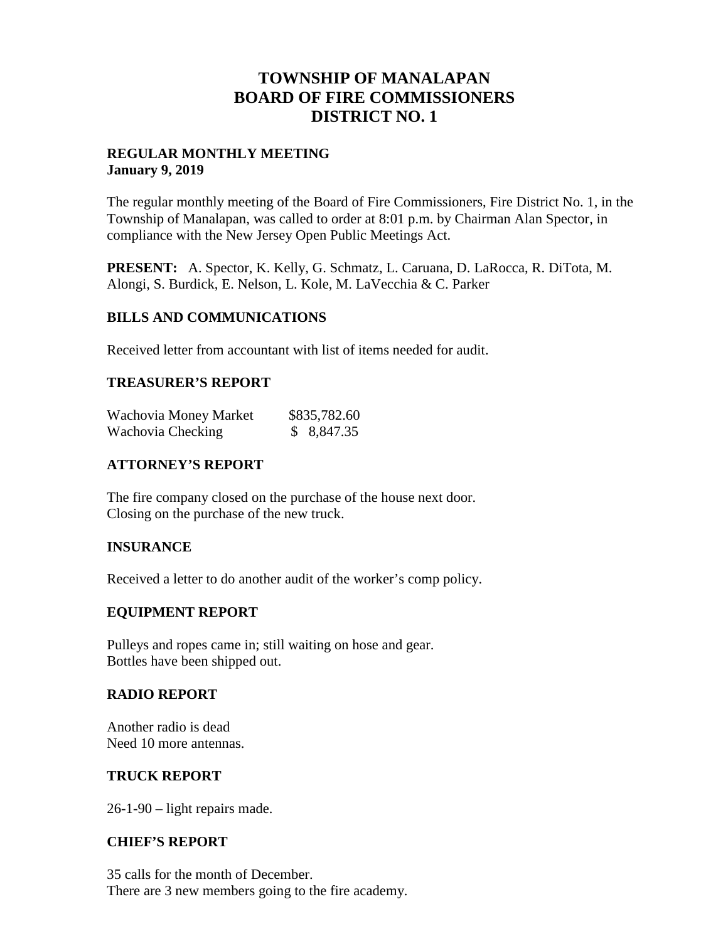## **TOWNSHIP OF MANALAPAN BOARD OF FIRE COMMISSIONERS DISTRICT NO. 1**

## **REGULAR MONTHLY MEETING January 9, 2019**

The regular monthly meeting of the Board of Fire Commissioners, Fire District No. 1, in the Township of Manalapan, was called to order at 8:01 p.m. by Chairman Alan Spector, in compliance with the New Jersey Open Public Meetings Act.

**PRESENT:** A. Spector, K. Kelly, G. Schmatz, L. Caruana, D. LaRocca, R. DiTota, M. Alongi, S. Burdick, E. Nelson, L. Kole, M. LaVecchia & C. Parker

#### **BILLS AND COMMUNICATIONS**

Received letter from accountant with list of items needed for audit.

## **TREASURER'S REPORT**

| Wachovia Money Market | \$835,782.60 |
|-----------------------|--------------|
| Wachovia Checking     | \$ 8,847.35  |

## **ATTORNEY'S REPORT**

The fire company closed on the purchase of the house next door. Closing on the purchase of the new truck.

#### **INSURANCE**

Received a letter to do another audit of the worker's comp policy.

#### **EQUIPMENT REPORT**

Pulleys and ropes came in; still waiting on hose and gear. Bottles have been shipped out.

#### **RADIO REPORT**

Another radio is dead Need 10 more antennas.

#### **TRUCK REPORT**

26-1-90 – light repairs made.

#### **CHIEF'S REPORT**

35 calls for the month of December. There are 3 new members going to the fire academy.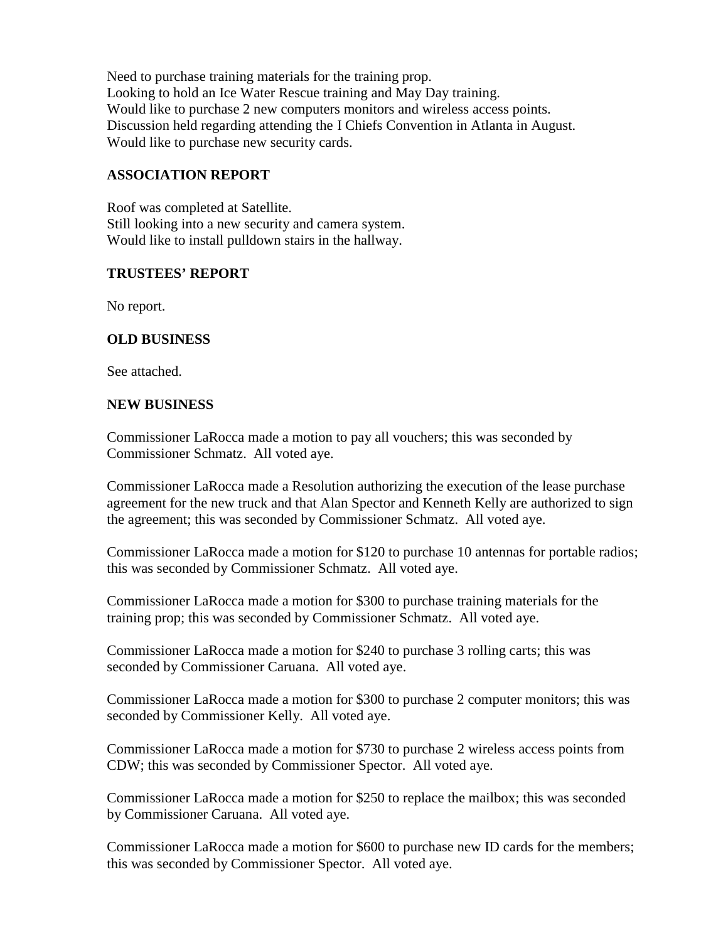Need to purchase training materials for the training prop. Looking to hold an Ice Water Rescue training and May Day training. Would like to purchase 2 new computers monitors and wireless access points. Discussion held regarding attending the I Chiefs Convention in Atlanta in August. Would like to purchase new security cards.

## **ASSOCIATION REPORT**

Roof was completed at Satellite. Still looking into a new security and camera system. Would like to install pulldown stairs in the hallway.

## **TRUSTEES' REPORT**

No report.

## **OLD BUSINESS**

See attached.

## **NEW BUSINESS**

Commissioner LaRocca made a motion to pay all vouchers; this was seconded by Commissioner Schmatz. All voted aye.

Commissioner LaRocca made a Resolution authorizing the execution of the lease purchase agreement for the new truck and that Alan Spector and Kenneth Kelly are authorized to sign the agreement; this was seconded by Commissioner Schmatz. All voted aye.

Commissioner LaRocca made a motion for \$120 to purchase 10 antennas for portable radios; this was seconded by Commissioner Schmatz. All voted aye.

Commissioner LaRocca made a motion for \$300 to purchase training materials for the training prop; this was seconded by Commissioner Schmatz. All voted aye.

Commissioner LaRocca made a motion for \$240 to purchase 3 rolling carts; this was seconded by Commissioner Caruana. All voted aye.

Commissioner LaRocca made a motion for \$300 to purchase 2 computer monitors; this was seconded by Commissioner Kelly. All voted aye.

Commissioner LaRocca made a motion for \$730 to purchase 2 wireless access points from CDW; this was seconded by Commissioner Spector. All voted aye.

Commissioner LaRocca made a motion for \$250 to replace the mailbox; this was seconded by Commissioner Caruana. All voted aye.

Commissioner LaRocca made a motion for \$600 to purchase new ID cards for the members; this was seconded by Commissioner Spector. All voted aye.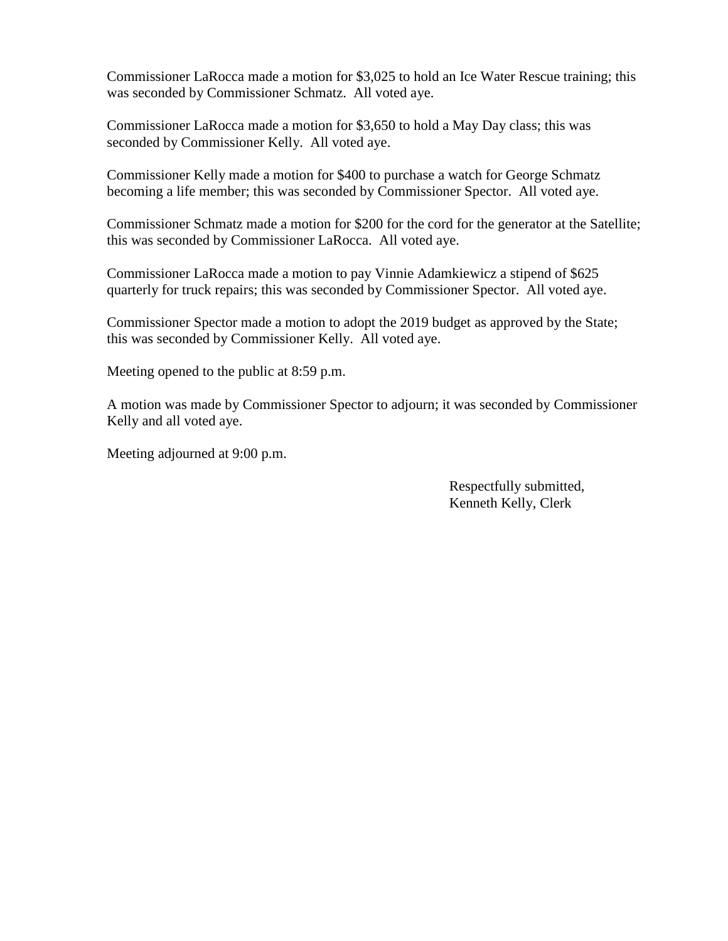Commissioner LaRocca made a motion for \$3,025 to hold an Ice Water Rescue training; this was seconded by Commissioner Schmatz. All voted aye.

Commissioner LaRocca made a motion for \$3,650 to hold a May Day class; this was seconded by Commissioner Kelly. All voted aye.

Commissioner Kelly made a motion for \$400 to purchase a watch for George Schmatz becoming a life member; this was seconded by Commissioner Spector. All voted aye.

Commissioner Schmatz made a motion for \$200 for the cord for the generator at the Satellite; this was seconded by Commissioner LaRocca. All voted aye.

Commissioner LaRocca made a motion to pay Vinnie Adamkiewicz a stipend of \$625 quarterly for truck repairs; this was seconded by Commissioner Spector. All voted aye.

Commissioner Spector made a motion to adopt the 2019 budget as approved by the State; this was seconded by Commissioner Kelly. All voted aye.

Meeting opened to the public at 8:59 p.m.

A motion was made by Commissioner Spector to adjourn; it was seconded by Commissioner Kelly and all voted aye.

Meeting adjourned at 9:00 p.m.

Respectfully submitted, Kenneth Kelly, Clerk